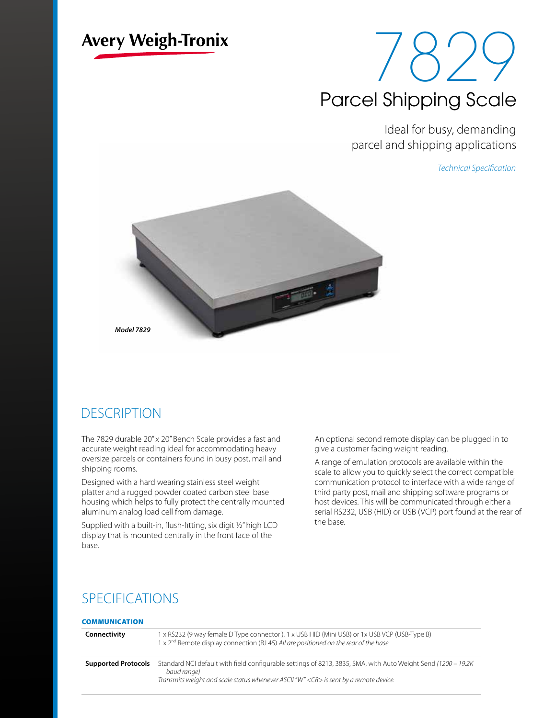# **Avery Weigh-Tronix**

# 18'YY Parcel Shipping Scale

Ideal for busy, demanding parcel and shipping applications

*Technical Specification*



*Model 7829*

## **DESCRIPTION**

The 7829 durable 20" x 20" Bench Scale provides a fast and accurate weight reading ideal for accommodating heavy oversize parcels or containers found in busy post, mail and shipping rooms.

Designed with a hard wearing stainless steel weight platter and a rugged powder coated carbon steel base housing which helps to fully protect the centrally mounted aluminum analog load cell from damage.

Supplied with a built-in, flush-fitting, six digit ½" high LCD display that is mounted centrally in the front face of the base.

An optional second remote display can be plugged in to give a customer facing weight reading.

A range of emulation protocols are available within the scale to allow you to quickly select the correct compatible communication protocol to interface with a wide range of third party post, mail and shipping software programs or host devices. This will be communicated through either a serial RS232, USB (HID) or USB (VCP) port found at the rear of the base.

## SPECIFICATIONS

## **COMMUNICATION**

| Connectivity               | 1 x RS232 (9 way female D Type connector), 1 x USB HID (Mini USB) or 1x USB VCP (USB-Type B)<br>1 x 2 <sup>nd</sup> Remote display connection (RJ 45) All are positioned on the rear of the base                            |
|----------------------------|-----------------------------------------------------------------------------------------------------------------------------------------------------------------------------------------------------------------------------|
| <b>Supported Protocols</b> | Standard NCI default with field configurable settings of 8213, 3835, SMA, with Auto Weight Send (1200 – 19.2K)<br>baud range)<br>Transmits weight and scale status whenever ASCII "W" <cr> is sent by a remote device.</cr> |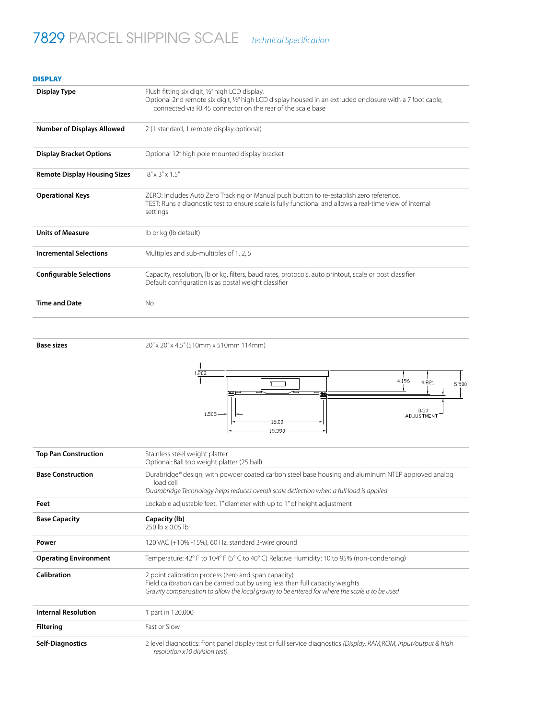# 7829 PARCEL SHIPPING SCALE *Technical Specification*

| <b>DISPLAY</b>                      |                                                                                                                                                                                                                             |  |
|-------------------------------------|-----------------------------------------------------------------------------------------------------------------------------------------------------------------------------------------------------------------------------|--|
| Display Type                        | Flush fitting six digit, 1/2" high LCD display.<br>Optional 2nd remote six digit, 1/2" high LCD display housed in an extruded enclosure with a 7 foot cable,<br>connected via RJ 45 connector on the rear of the scale base |  |
| <b>Number of Displays Allowed</b>   | 2 (1 standard, 1 remote display optional)                                                                                                                                                                                   |  |
| <b>Display Bracket Options</b>      | Optional 12" high pole mounted display bracket                                                                                                                                                                              |  |
| <b>Remote Display Housing Sizes</b> | $8'' \times 3'' \times 1.5''$                                                                                                                                                                                               |  |
| <b>Operational Keys</b>             | ZERO: Includes Auto Zero Tracking or Manual push button to re-establish zero reference.<br>TEST: Runs a diagnostic test to ensure scale is fully functional and allows a real-time view of internal<br>settings             |  |
| <b>Units of Measure</b>             | Ib or kg (Ib default)                                                                                                                                                                                                       |  |
| <b>Incremental Selections</b>       | Multiples and sub-multiples of 1, 2, 5                                                                                                                                                                                      |  |
| <b>Configurable Selections</b>      | Capacity, resolution, Ib or kg, filters, baud rates, protocols, auto printout, scale or post classifier<br>Default configuration is as postal weight classifier                                                             |  |
| <b>Time and Date</b>                | <b>No</b>                                                                                                                                                                                                                   |  |
|                                     |                                                                                                                                                                                                                             |  |

**Base sizes** 20" x 20" x 4.5" (510mm x 510mm 114mm)



| <b>Top Pan Construction</b>  | Stainless steel weight platter<br>Optional: Ball top weight platter (25 ball)                                                                                                                                                            |
|------------------------------|------------------------------------------------------------------------------------------------------------------------------------------------------------------------------------------------------------------------------------------|
| <b>Base Construction</b>     | Durabridge® design, with powder coated carbon steel base housing and aluminum NTEP approved analog<br>load cell<br>Duarabridge Technology helps reduces overall scale deflection when a full load is applied                             |
| Feet                         | Lockable adjustable feet, 1" diameter with up to 1" of height adjustment                                                                                                                                                                 |
| <b>Base Capacity</b>         | Capacity (lb)<br>250 lb x 0.05 lb                                                                                                                                                                                                        |
| Power                        | 120 VAC (+10% -15%), 60 Hz, standard 3-wire ground                                                                                                                                                                                       |
| <b>Operating Environment</b> | Temperature: 42° F to 104° F (5° C to 40° C) Relative Humidity: 10 to 95% (non-condensing)                                                                                                                                               |
| <b>Calibration</b>           | 2 point calibration process (zero and span capacity)<br>Field calibration can be carried out by using less than full capacity weights<br>Gravity compensation to allow the local gravity to be entered for where the scale is to be used |
| <b>Internal Resolution</b>   | 1 part in 120,000                                                                                                                                                                                                                        |
| <b>Filtering</b>             | Fast or Slow                                                                                                                                                                                                                             |
| <b>Self-Diagnostics</b>      | 2 level diagnostics: front panel display test or full service diagnostics (Display, RAM, ROM, input/output & high<br>resolution x10 division test)                                                                                       |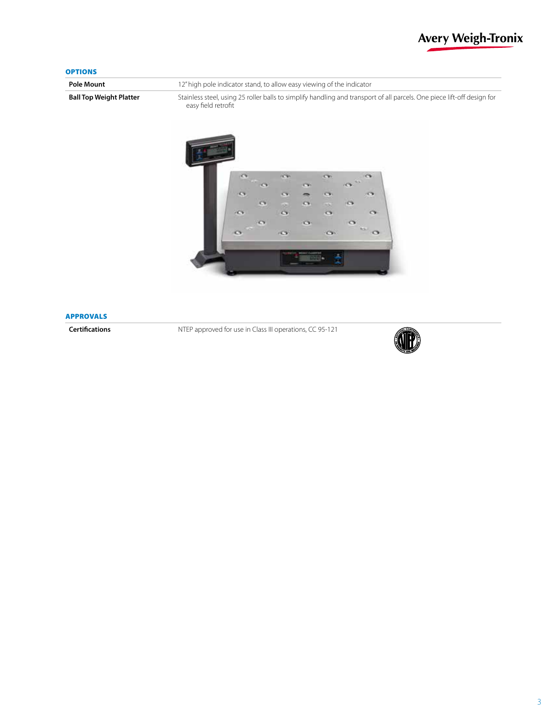## **Avery Weigh-Tronix**

### **OPTIONS**

**Pole Mount 12**" high pole indicator stand, to allow easy viewing of the indicator Ball Top Weight Platter Stainless steel, using 25 roller balls to simplify handling and transport of all parcels. One piece lift-off design for easy field retrofit



#### APPROVALS

**Certifications** NTEP approved for use in Class III operations, CC 95-121